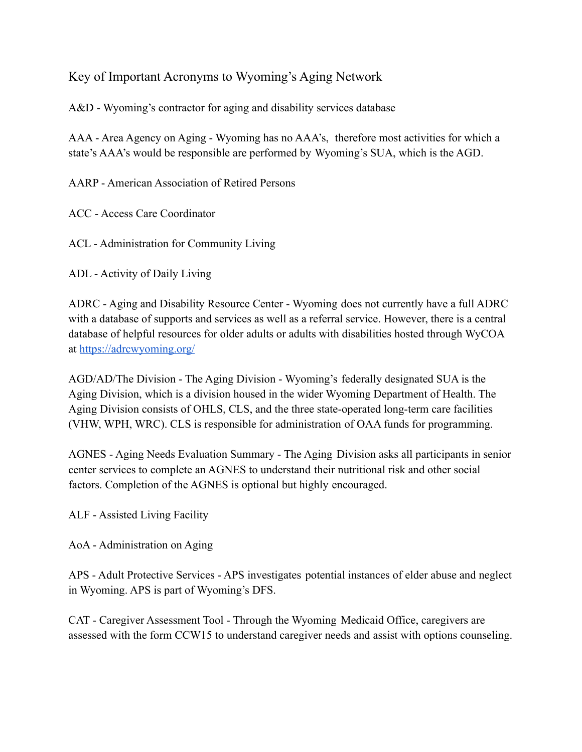## Key of Important Acronyms to Wyoming's Aging Network

A&D - Wyoming's contractor for aging and disability services database

AAA - Area Agency on Aging - Wyoming has no AAA's, therefore most activities for which a state's AAA's would be responsible are performed by Wyoming's SUA, which is the AGD.

AARP - American Association of Retired Persons

ACC - Access Care Coordinator

ACL - Administration for Community Living

ADL - Activity of Daily Living

ADRC - Aging and Disability Resource Center - Wyoming does not currently have a full ADRC with a database of supports and services as well as a referral service. However, there is a central database of helpful resources for older adults or adults with disabilities hosted through WyCOA at <https://adrcwyoming.org/>

AGD/AD/The Division - The Aging Division - Wyoming's federally designated SUA is the Aging Division, which is a division housed in the wider Wyoming Department of Health. The Aging Division consists of OHLS, CLS, and the three state-operated long-term care facilities (VHW, WPH, WRC). CLS is responsible for administration of OAA funds for programming.

AGNES - Aging Needs Evaluation Summary - The Aging Division asks all participants in senior center services to complete an AGNES to understand their nutritional risk and other social factors. Completion of the AGNES is optional but highly encouraged.

ALF - Assisted Living Facility

AoA - Administration on Aging

APS - Adult Protective Services - APS investigates potential instances of elder abuse and neglect in Wyoming. APS is part of Wyoming's DFS.

CAT - Caregiver Assessment Tool - Through the Wyoming Medicaid Office, caregivers are assessed with the form CCW15 to understand caregiver needs and assist with options counseling.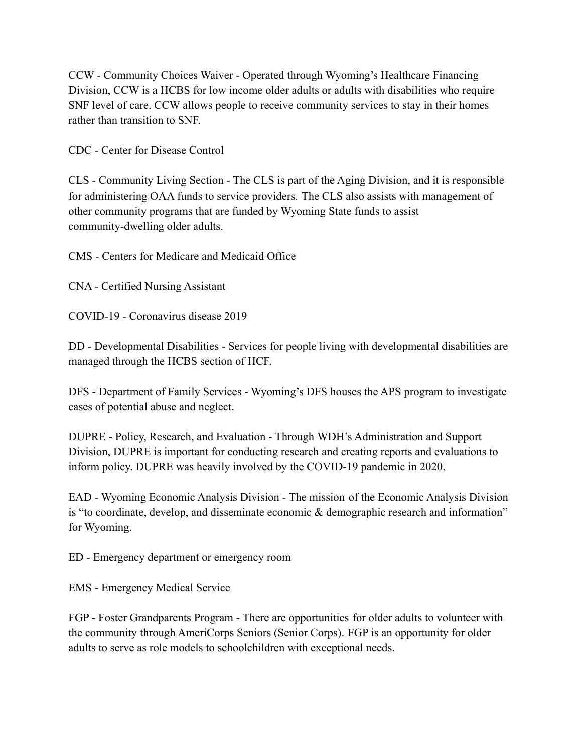CCW - Community Choices Waiver - Operated through Wyoming's Healthcare Financing Division, CCW is a HCBS for low income older adults or adults with disabilities who require SNF level of care. CCW allows people to receive community services to stay in their homes rather than transition to SNF.

CDC - Center for Disease Control

CLS - Community Living Section - The CLS is part of the Aging Division, and it is responsible for administering OAA funds to service providers. The CLS also assists with management of other community programs that are funded by Wyoming State funds to assist community-dwelling older adults.

CMS - Centers for Medicare and Medicaid Office

CNA - Certified Nursing Assistant

COVID-19 - Coronavirus disease 2019

DD - Developmental Disabilities - Services for people living with developmental disabilities are managed through the HCBS section of HCF.

DFS - Department of Family Services - Wyoming's DFS houses the APS program to investigate cases of potential abuse and neglect.

DUPRE - Policy, Research, and Evaluation - Through WDH's Administration and Support Division, DUPRE is important for conducting research and creating reports and evaluations to inform policy. DUPRE was heavily involved by the COVID-19 pandemic in 2020.

EAD - Wyoming Economic Analysis Division - The mission of the Economic Analysis Division is "to coordinate, develop, and disseminate economic & demographic research and information" for Wyoming.

ED - Emergency department or emergency room

EMS - Emergency Medical Service

FGP - Foster Grandparents Program - There are opportunities for older adults to volunteer with the community through AmeriCorps Seniors (Senior Corps). FGP is an opportunity for older adults to serve as role models to schoolchildren with exceptional needs.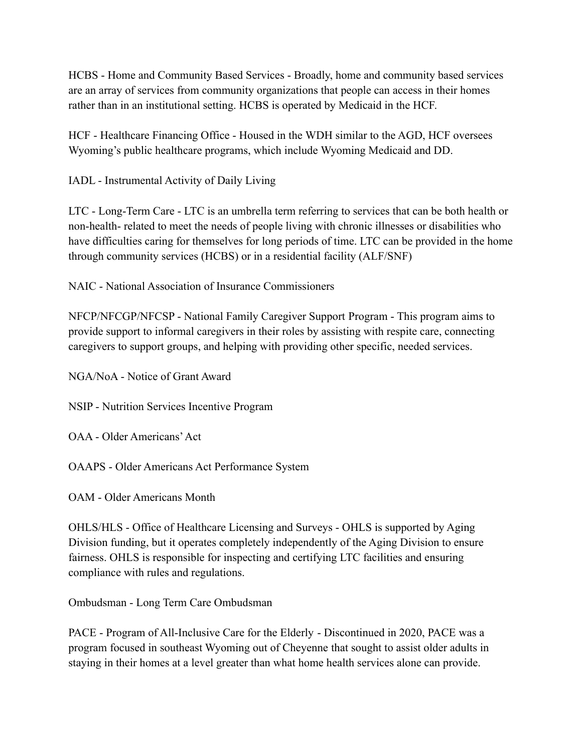HCBS - Home and Community Based Services - Broadly, home and community based services are an array of services from community organizations that people can access in their homes rather than in an institutional setting. HCBS is operated by Medicaid in the HCF.

HCF - Healthcare Financing Office - Housed in the WDH similar to the AGD, HCF oversees Wyoming's public healthcare programs, which include Wyoming Medicaid and DD.

IADL - Instrumental Activity of Daily Living

LTC - Long-Term Care - LTC is an umbrella term referring to services that can be both health or non-health- related to meet the needs of people living with chronic illnesses or disabilities who have difficulties caring for themselves for long periods of time. LTC can be provided in the home through community services (HCBS) or in a residential facility (ALF/SNF)

NAIC - National Association of Insurance Commissioners

NFCP/NFCGP/NFCSP - National Family Caregiver Support Program - This program aims to provide support to informal caregivers in their roles by assisting with respite care, connecting caregivers to support groups, and helping with providing other specific, needed services.

NGA/NoA - Notice of Grant Award

NSIP - Nutrition Services Incentive Program

OAA - Older Americans'Act

OAAPS - Older Americans Act Performance System

OAM - Older Americans Month

OHLS/HLS - Office of Healthcare Licensing and Surveys - OHLS is supported by Aging Division funding, but it operates completely independently of the Aging Division to ensure fairness. OHLS is responsible for inspecting and certifying LTC facilities and ensuring compliance with rules and regulations.

Ombudsman - Long Term Care Ombudsman

PACE - Program of All-Inclusive Care for the Elderly - Discontinued in 2020, PACE was a program focused in southeast Wyoming out of Cheyenne that sought to assist older adults in staying in their homes at a level greater than what home health services alone can provide.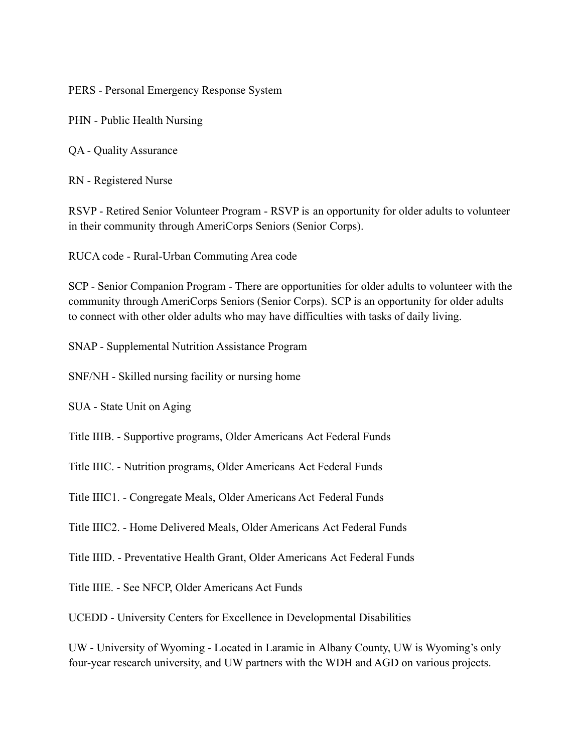PERS - Personal Emergency Response System

PHN - Public Health Nursing

QA - Quality Assurance

RN - Registered Nurse

RSVP - Retired Senior Volunteer Program - RSVP is an opportunity for older adults to volunteer in their community through AmeriCorps Seniors (Senior Corps).

RUCA code - Rural-Urban Commuting Area code

SCP - Senior Companion Program - There are opportunities for older adults to volunteer with the community through AmeriCorps Seniors (Senior Corps). SCP is an opportunity for older adults to connect with other older adults who may have difficulties with tasks of daily living.

SNAP - Supplemental Nutrition Assistance Program

SNF/NH - Skilled nursing facility or nursing home

SUA - State Unit on Aging

Title IIIB. - Supportive programs, Older Americans Act Federal Funds

Title IIIC. - Nutrition programs, Older Americans Act Federal Funds

Title IIIC1. - Congregate Meals, Older Americans Act Federal Funds

Title IIIC2. - Home Delivered Meals, Older Americans Act Federal Funds

Title IIID. - Preventative Health Grant, Older Americans Act Federal Funds

Title IIIE. - See NFCP, Older Americans Act Funds

UCEDD - University Centers for Excellence in Developmental Disabilities

UW - University of Wyoming - Located in Laramie in Albany County, UW is Wyoming's only four-year research university, and UW partners with the WDH and AGD on various projects.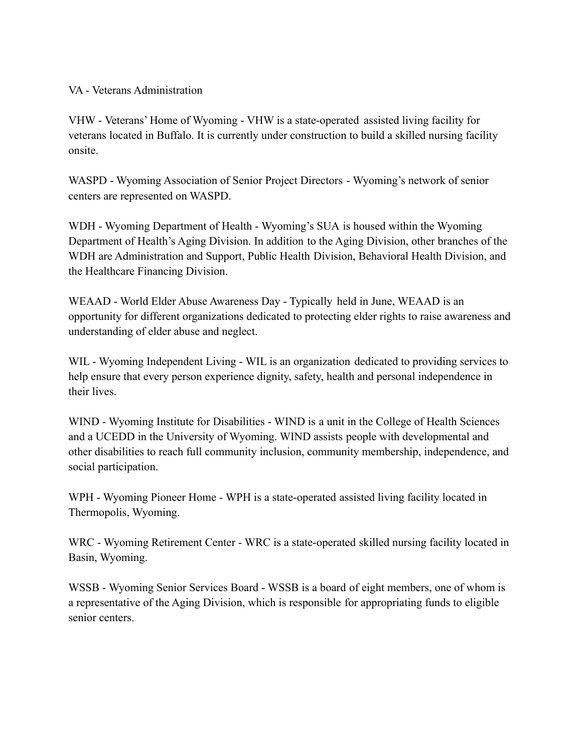VA - Veterans Administration

VHW - Veterans' Home of Wyoming - VHW is a state-operated assisted living facility for veterans located in Buffalo. It is currently under construction to build a skilled nursing facility onsite.

WASPD - Wyoming Association of Senior Project Directors - Wyoming's network of senior centers are represented on WASPD.

WDH - Wyoming Department of Health - Wyoming's SUA is housed within the Wyoming Department of Health's Aging Division. In addition to the Aging Division, other branches of the WDH are Administration and Support, Public Health Division, Behavioral Health Division, and the Healthcare Financing Division.

WEAAD - World Elder Abuse Awareness Day - Typically held in June, WEAAD is an opportunity for different organizations dedicated to protecting elder rights to raise awareness and understanding of elder abuse and neglect.

WIL - Wyoming Independent Living - WIL is an organization dedicated to providing services to help ensure that every person experience dignity, safety, health and personal independence in their lives.

WIND - Wyoming Institute for Disabilities - WIND is a unit in the College of Health Sciences and a UCEDD in the University of Wyoming. WIND assists people with developmental and other disabilities to reach full community inclusion, community membership, independence, and social participation.

WPH - Wyoming Pioneer Home - WPH is a state-operated assisted living facility located in Thermopolis, Wyoming.

WRC - Wyoming Retirement Center - WRC is a state-operated skilled nursing facility located in Basin, Wyoming.

WSSB - Wyoming Senior Services Board - WSSB is a board of eight members, one of whom is a representative of the Aging Division, which is responsible for appropriating funds to eligible senior centers.